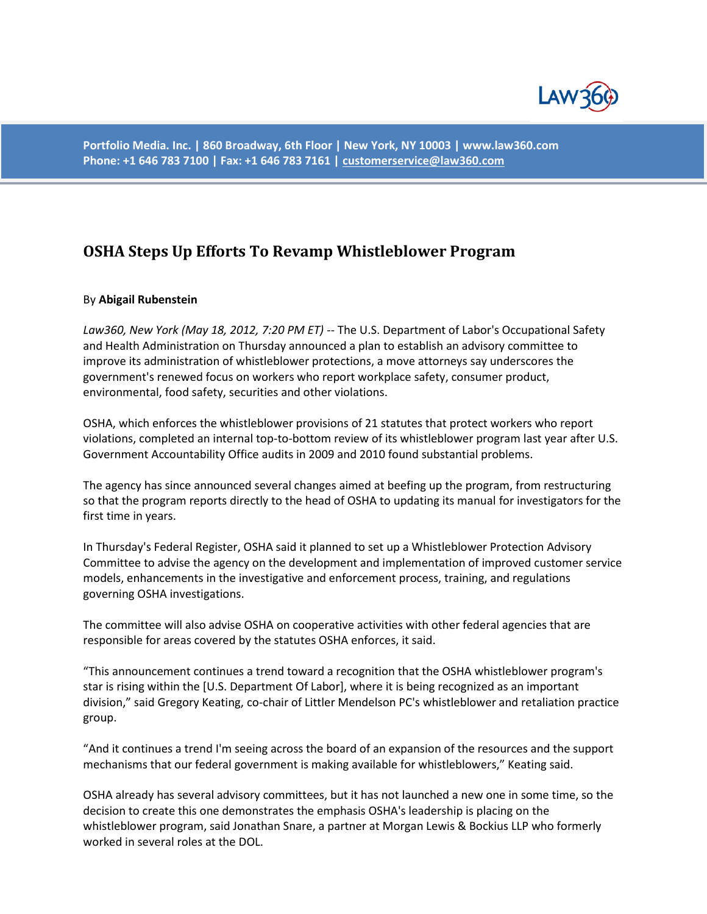

**Portfolio Media. Inc. | 860 Broadway, 6th Floor | New York, NY 10003 | www.law360.com Phone: +1 646 783 7100 | Fax: +1 646 783 7161 [| customerservice@law360.com](mailto:customerservice@law360.com)**

## **[OSHA Steps Up Efforts To Revamp Whistleblower Program](http://www.law360.com/articles/342101/osha-steps-up-efforts-to-revamp-whistleblower-program)**

## By **Abigail Rubenstein**

*Law360, New York (May 18, 2012, 7:20 PM ET)* -- The U.S. Department of Labor's Occupational Safety and Health Administration on Thursday announced a plan to establish an advisory committee to improve its administration of whistleblower protections, a move attorneys say underscores the government's renewed focus on workers who report workplace safety, consumer product, environmental, food safety, securities and other violations.

OSHA, which enforces the whistleblower provisions of 21 statutes that protect workers who report violations, completed an internal top-to-bottom review of its whistleblower program last year after U.S. Government Accountability Office audits in 2009 and 2010 found substantial problems.

The agency has since announced several changes aimed at beefing up the program, from restructuring so that the program reports directly to the head of OSHA to updating its manual for investigators for the first time in years.

In Thursday's Federal Register, OSHA said it planned to set up a Whistleblower Protection Advisory Committee to advise the agency on the development and implementation of improved customer service models, enhancements in the investigative and enforcement process, training, and regulations governing OSHA investigations.

The committee will also advise OSHA on cooperative activities with other federal agencies that are responsible for areas covered by the statutes OSHA enforces, it said.

"This announcement continues a trend toward a recognition that the OSHA whistleblower program's star is rising within the [U.S. Department Of Labor], where it is being recognized as an important division," said Gregory Keating, co-chair of Littler Mendelson PC's whistleblower and retaliation practice group.

"And it continues a trend I'm seeing across the board of an expansion of the resources and the support mechanisms that our federal government is making available for whistleblowers," Keating said.

OSHA already has several advisory committees, but it has not launched a new one in some time, so the decision to create this one demonstrates the emphasis OSHA's leadership is placing on the whistleblower program, said Jonathan Snare, a partner at Morgan Lewis & Bockius LLP who formerly worked in several roles at the DOL.